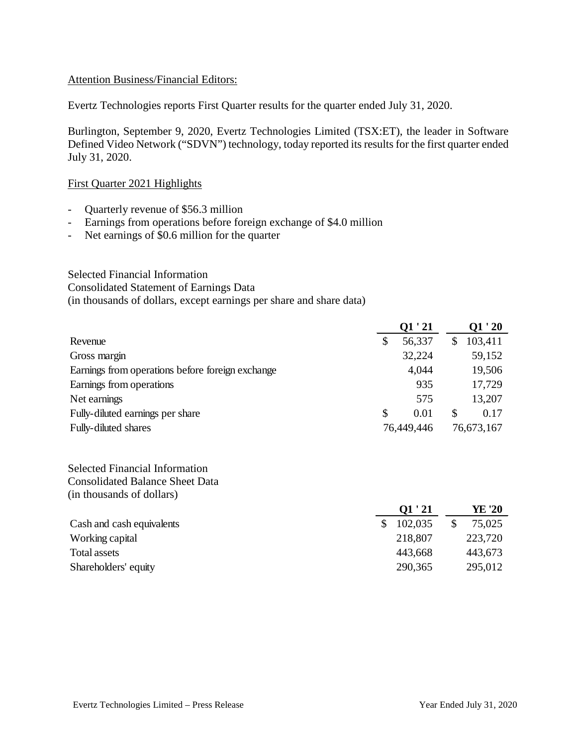#### Attention Business/Financial Editors:

Evertz Technologies reports First Quarter results for the quarter ended July 31, 2020.

Burlington, September 9, 2020, Evertz Technologies Limited (TSX:ET), the leader in Software Defined Video Network ("SDVN") technology, today reported its results for the first quarter ended July 31, 2020.

#### First Quarter 2021 Highlights

- Quarterly revenue of \$56.3 million
- Earnings from operations before foreign exchange of \$4.0 million
- Net earnings of \$0.6 million for the quarter

# Selected Financial Information Consolidated Statement of Earnings Data (in thousands of dollars, except earnings per share and share data)

|                                                  | Q1'21        |               | O1 ' 20    |
|--------------------------------------------------|--------------|---------------|------------|
| Revenue                                          | \$<br>56,337 | S             | 103,411    |
| Gross margin                                     | 32,224       |               | 59,152     |
| Earnings from operations before foreign exchange | 4,044        |               | 19,506     |
| Earnings from operations                         | 935          |               | 17,729     |
| Net earnings                                     | 575          |               | 13,207     |
| Fully-diluted earnings per share                 | \$<br>0.01   | <sup>\$</sup> | 0.17       |
| <b>Fully-diluted shares</b>                      | 76,449,446   |               | 76,673,167 |

Selected Financial Information Consolidated Balance Sheet Data (in thousands of dollars)

|                           | O1 ' 21 | YE '20  |
|---------------------------|---------|---------|
| Cash and cash equivalents | 102,035 | 75,025  |
| Working capital           | 218,807 | 223,720 |
| Total assets              | 443,668 | 443,673 |
| Shareholders' equity      | 290,365 | 295,012 |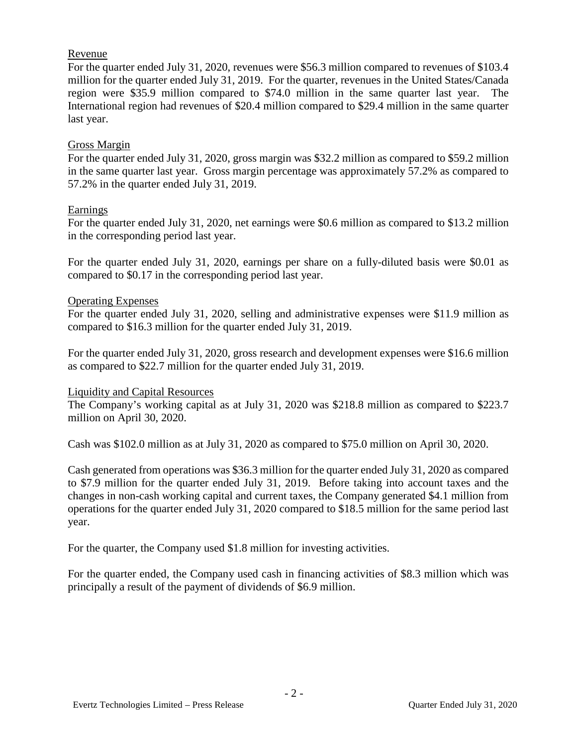# Revenue

For the quarter ended July 31, 2020, revenues were \$56.3 million compared to revenues of \$103.4 million for the quarter ended July 31, 2019. For the quarter, revenues in the United States/Canada region were \$35.9 million compared to \$74.0 million in the same quarter last year. The International region had revenues of \$20.4 million compared to \$29.4 million in the same quarter last year.

# Gross Margin

For the quarter ended July 31, 2020, gross margin was \$32.2 million as compared to \$59.2 million in the same quarter last year. Gross margin percentage was approximately 57.2% as compared to 57.2% in the quarter ended July 31, 2019.

## Earnings

For the quarter ended July 31, 2020, net earnings were \$0.6 million as compared to \$13.2 million in the corresponding period last year.

For the quarter ended July 31, 2020, earnings per share on a fully-diluted basis were \$0.01 as compared to \$0.17 in the corresponding period last year.

## Operating Expenses

For the quarter ended July 31, 2020, selling and administrative expenses were \$11.9 million as compared to \$16.3 million for the quarter ended July 31, 2019.

For the quarter ended July 31, 2020, gross research and development expenses were \$16.6 million as compared to \$22.7 million for the quarter ended July 31, 2019.

#### Liquidity and Capital Resources

The Company's working capital as at July 31, 2020 was \$218.8 million as compared to \$223.7 million on April 30, 2020.

Cash was \$102.0 million as at July 31, 2020 as compared to \$75.0 million on April 30, 2020.

Cash generated from operations was \$36.3 million for the quarter ended July 31, 2020 as compared to \$7.9 million for the quarter ended July 31, 2019. Before taking into account taxes and the changes in non-cash working capital and current taxes, the Company generated \$4.1 million from operations for the quarter ended July 31, 2020 compared to \$18.5 million for the same period last year.

For the quarter, the Company used \$1.8 million for investing activities.

For the quarter ended, the Company used cash in financing activities of \$8.3 million which was principally a result of the payment of dividends of \$6.9 million.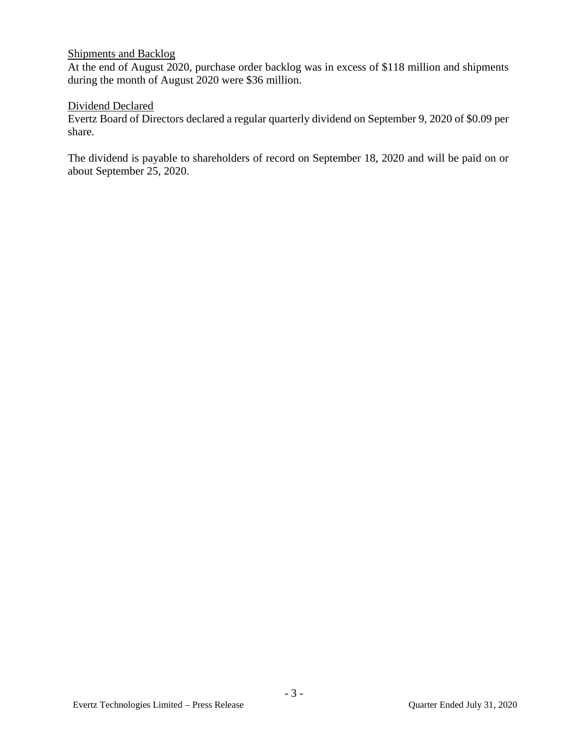# Shipments and Backlog

At the end of August 2020, purchase order backlog was in excess of \$118 million and shipments during the month of August 2020 were \$36 million.

## Dividend Declared

Evertz Board of Directors declared a regular quarterly dividend on September 9, 2020 of \$0.09 per share.

The dividend is payable to shareholders of record on September 18, 2020 and will be paid on or about September 25, 2020.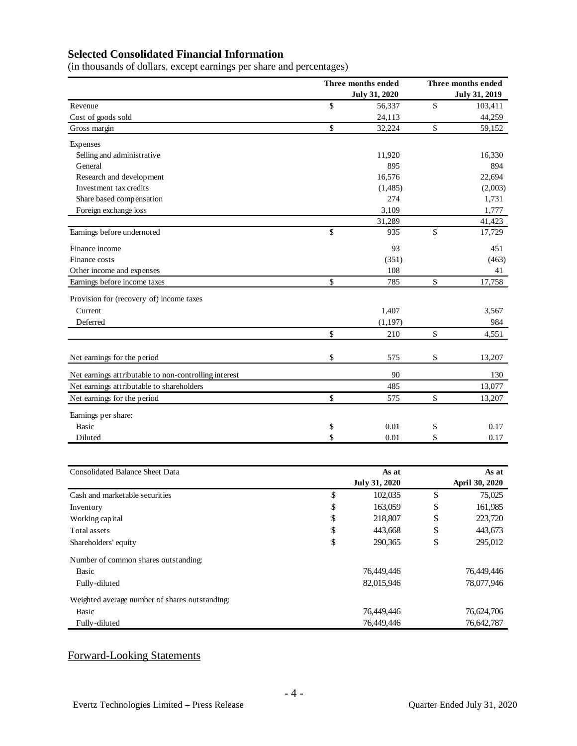# **Selected Consolidated Financial Information**

(in thousands of dollars, except earnings per share and percentages)

|                                                       | Three months ended   |    | Three months ended   |  |  |
|-------------------------------------------------------|----------------------|----|----------------------|--|--|
|                                                       | <b>July 31, 2020</b> |    | <b>July 31, 2019</b> |  |  |
| Revenue                                               | \$<br>56,337         | \$ | 103,411              |  |  |
| Cost of goods sold                                    | 24,113               |    | 44,259               |  |  |
| Gross margin                                          | \$<br>32,224         | \$ | 59,152               |  |  |
| Expenses                                              |                      |    |                      |  |  |
| Selling and administrative                            | 11,920               |    | 16,330               |  |  |
| General                                               | 895                  |    | 894                  |  |  |
| Research and development                              | 16,576               |    | 22,694               |  |  |
| Investment tax credits                                | (1,485)              |    | (2,003)              |  |  |
| Share based compensation                              | 274                  |    | 1,731                |  |  |
| Foreign exchange loss                                 | 3,109                |    | 1,777                |  |  |
|                                                       | 31,289               |    | 41,423               |  |  |
| Earnings before undernoted                            | \$<br>935            | \$ | 17,729               |  |  |
| Finance income                                        | 93                   |    | 451                  |  |  |
| Finance costs                                         | (351)                |    | (463)                |  |  |
| Other income and expenses                             | 108                  |    | 41                   |  |  |
| Earnings before income taxes                          | \$<br>785            | \$ | 17,758               |  |  |
| Provision for (recovery of) income taxes              |                      |    |                      |  |  |
| Current                                               | 1,407                |    | 3,567                |  |  |
| Deferred                                              | (1, 197)             |    | 984                  |  |  |
|                                                       | \$<br>210            | \$ | 4,551                |  |  |
|                                                       |                      |    |                      |  |  |
| Net earnings for the period                           | \$<br>575            | \$ | 13,207               |  |  |
| Net earnings attributable to non-controlling interest | 90                   |    | 130                  |  |  |
| Net earnings attributable to shareholders             | 485                  |    | 13,077               |  |  |
| Net earnings for the period                           | \$<br>575            | \$ | 13,207               |  |  |
| Earnings per share:                                   |                      |    |                      |  |  |
| <b>Basic</b>                                          | \$<br>0.01           | \$ | 0.17                 |  |  |
| Diluted                                               | \$<br>0.01           | \$ | 0.17                 |  |  |
|                                                       |                      |    |                      |  |  |
| Consolidated Balance Sheet Data                       | As at                |    | As at                |  |  |
|                                                       | <b>July 31, 2020</b> |    | April 30, 2020       |  |  |
| Cash and marketable securities                        | \$<br>102,035        | \$ | 75,025               |  |  |
| Inventory                                             | \$<br>163,059        | \$ | 161,985              |  |  |
| Working capital                                       | \$<br>218,807        | \$ | 223,720              |  |  |
| Total assets                                          | \$<br>443,668        | \$ | 443,673              |  |  |
| Shareholders' equity                                  | \$<br>290,365        | \$ | 295,012              |  |  |
| Number of common shares outstanding:                  |                      |    |                      |  |  |

| Basic                                          | 76,449,446 | 76,449,446 |
|------------------------------------------------|------------|------------|
| Fully-diluted                                  | 82,015,946 | 78,077,946 |
| Weighted average number of shares outstanding: |            |            |
| Basic                                          | 76,449,446 | 76,624,706 |
| Fully-diluted                                  | 76,449,446 | 76,642,787 |

# Forward-Looking Statements